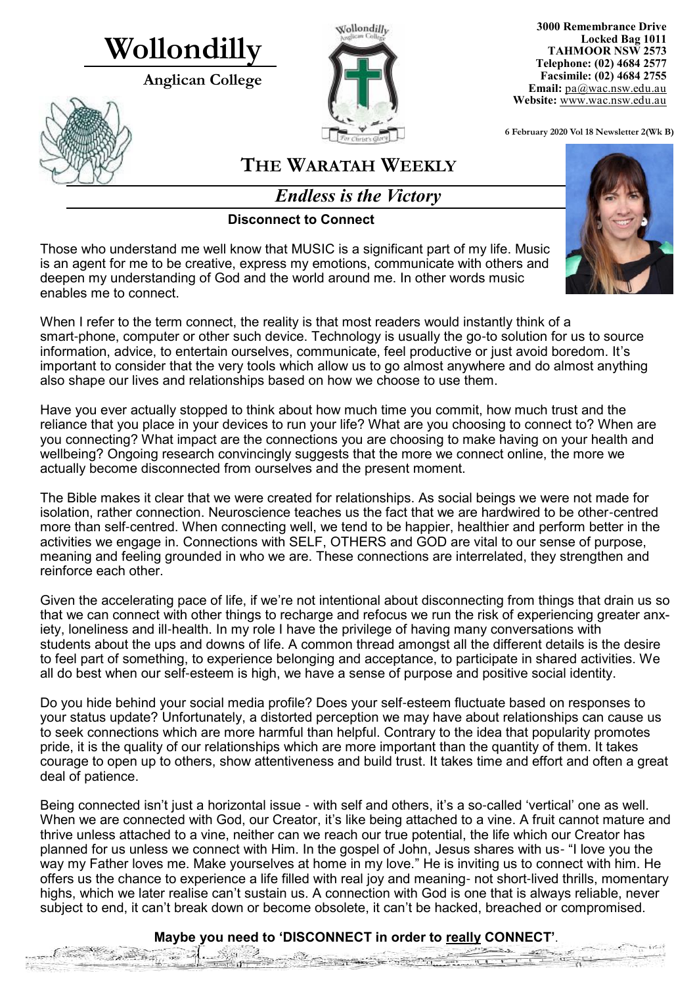# **Wollondilly**

**Anglican College** 





**3000 Remembrance Drive Locked Bag 1011 TAHMOOR NSW 2573 Telephone: (02) 4684 2577 Facsimile: (02) 4684 2755 Email:** [pa@wac.nsw.edu.au](mailto:pa@wac.nsw.edu.au) **Website:** www.wac.nsw.edu.au

**6 February 2020 Vol 18 Newsletter 2(Wk B)** 

 $\frac{1}{2}$  in  $\frac{1}{2}$ 

# **THE WARATAH WEEKLY**

*Endless is the Victory*

### **Disconnect to Connect**

Those who understand me well know that MUSIC is a significant part of my life. Music is an agent for me to be creative, express my emotions, communicate with others and deepen my understanding of God and the world around me. In other words music enables me to connect.

When I refer to the term connect, the reality is that most readers would instantly think of a smart-phone, computer or other such device. Technology is usually the go-to solution for us to source information, advice, to entertain ourselves, communicate, feel productive or just avoid boredom. It's important to consider that the very tools which allow us to go almost anywhere and do almost anything also shape our lives and relationships based on how we choose to use them.

Have you ever actually stopped to think about how much time you commit, how much trust and the reliance that you place in your devices to run your life? What are you choosing to connect to? When are you connecting? What impact are the connections you are choosing to make having on your health and wellbeing? Ongoing research convincingly suggests that the more we connect online, the more we actually become disconnected from ourselves and the present moment.

The Bible makes it clear that we were created for relationships. As social beings we were not made for isolation, rather connection. Neuroscience teaches us the fact that we are hardwired to be other-centred more than self-centred. When connecting well, we tend to be happier, healthier and perform better in the activities we engage in. Connections with SELF, OTHERS and GOD are vital to our sense of purpose, meaning and feeling grounded in who we are. These connections are interrelated, they strengthen and reinforce each other.

Given the accelerating pace of life, if we're not intentional about disconnecting from things that drain us so that we can connect with other things to recharge and refocus we run the risk of experiencing greater anxiety, loneliness and ill-health. In my role I have the privilege of having many conversations with students about the ups and downs of life. A common thread amongst all the different details is the desire to feel part of something, to experience belonging and acceptance, to participate in shared activities. We all do best when our self-esteem is high, we have a sense of purpose and positive social identity.

Do you hide behind your social media profile? Does your self-esteem fluctuate based on responses to your status update? Unfortunately, a distorted perception we may have about relationships can cause us to seek connections which are more harmful than helpful. Contrary to the idea that popularity promotes pride, it is the quality of our relationships which are more important than the quantity of them. It takes courage to open up to others, show attentiveness and build trust. It takes time and effort and often a great deal of patience.

Being connected isn't just a horizontal issue - with self and others, it's a so-called 'vertical' one as well. When we are connected with God, our Creator, it's like being attached to a vine. A fruit cannot mature and thrive unless attached to a vine, neither can we reach our true potential, the life which our Creator has planned for us unless we connect with Him. In the gospel of John, Jesus shares with us- "I love you the way my Father loves me. Make yourselves at home in my love." He is inviting us to connect with him. He offers us the chance to experience a life filled with real joy and meaning- not short-lived thrills, momentary highs, which we later realise can't sustain us. A connection with God is one that is always reliable, never subject to end, it can't break down or become obsolete, it can't be hacked, breached or compromised.

# **Maybe you need to 'DISCONNECT in order to really CONNECT'**.Jan Brown

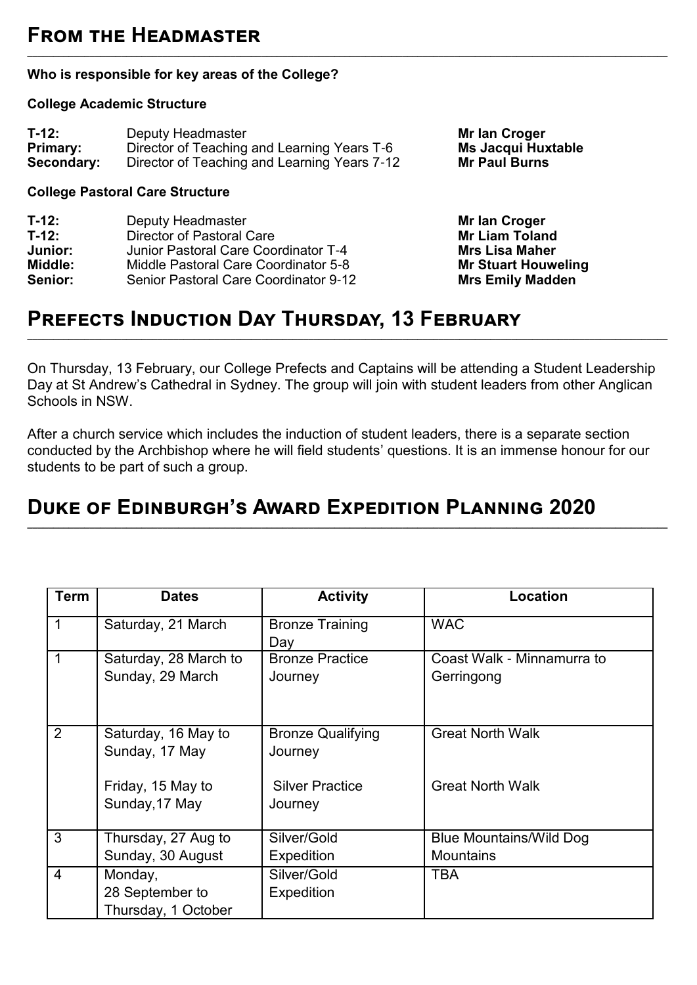# **From the Headmaster**

#### **Who is responsible for key areas of the College?**

#### **College Academic Structure**

| $T-12:$         | Deputy Headmaster                            |
|-----------------|----------------------------------------------|
| <b>Primary:</b> | Director of Teaching and Learning Years T-6  |
| Secondary:      | Director of Teaching and Learning Years 7-12 |

#### **College Pastoral Care Structure**

| T-12:   | Deputy Headmaster                     |
|---------|---------------------------------------|
| T-12:   | <b>Director of Pastoral Care</b>      |
| Junior: | Junior Pastoral Care Coordinator T-4  |
| Middle: | Middle Pastoral Care Coordinator 5-8  |
| Senior: | Senior Pastoral Care Coordinator 9-12 |

**Mr Ian Croger Ms Jacqui Huxtable Mr Paul Burns** 

**Mr Ian Croger Mr Liam Toland Mrs Lisa Maher Mr Stuart Houweling Mrs Emily Madden** 

# **Prefects Induction Day Thursday, 13 February**

On Thursday, 13 February, our College Prefects and Captains will be attending a Student Leadership Day at St Andrew's Cathedral in Sydney. The group will join with student leaders from other Anglican Schools in NSW.

**\_\_\_\_\_\_\_\_\_\_\_\_\_\_\_\_\_\_\_\_\_\_\_\_\_\_\_\_\_\_\_\_\_\_\_\_\_\_\_\_\_\_\_\_\_\_\_\_\_\_\_\_\_\_\_\_\_\_\_\_\_\_\_\_\_\_\_\_\_\_\_\_\_\_\_\_\_\_\_\_\_\_\_\_\_\_\_\_\_\_\_\_\_\_\_\_\_\_\_\_\_\_\_\_\_\_\_\_\_\_\_\_\_\_\_\_\_\_\_\_\_\_\_**

**\_\_\_\_\_\_\_\_\_\_\_\_\_\_\_\_\_\_\_\_\_\_\_\_\_\_\_\_\_\_\_\_\_\_\_\_\_\_\_\_\_\_\_\_\_\_\_\_\_\_\_\_\_\_\_\_\_\_\_\_\_\_\_\_\_\_\_\_\_\_\_\_\_\_\_\_\_\_\_\_\_\_\_\_\_\_\_\_\_\_\_\_\_\_\_\_\_\_\_\_\_\_\_\_\_\_\_\_\_\_\_\_\_\_\_\_\_\_\_\_\_\_\_**

After a church service which includes the induction of student leaders, there is a separate section conducted by the Archbishop where he will field students' questions. It is an immense honour for our students to be part of such a group.

**\_\_\_\_\_\_\_\_\_\_\_\_\_\_\_\_\_\_\_\_\_\_\_\_\_\_\_\_\_\_\_\_\_\_\_\_\_\_\_\_\_\_\_\_\_\_\_\_\_\_\_\_\_\_\_\_\_\_\_\_\_\_\_\_\_\_\_\_\_\_\_\_\_\_\_\_\_\_\_\_\_\_\_\_\_\_\_\_\_\_\_\_\_\_\_\_\_\_\_\_\_\_\_\_\_\_\_\_\_\_\_\_\_\_\_\_\_\_\_\_\_\_\_**

# **Duke of Edinburgh's Award Expedition Planning 2020**

| <b>Term</b>    | <b>Dates</b>                                                                 | <b>Activity</b>                                                          | <b>Location</b>                                    |
|----------------|------------------------------------------------------------------------------|--------------------------------------------------------------------------|----------------------------------------------------|
| 1              | Saturday, 21 March                                                           | <b>Bronze Training</b><br>Day                                            | <b>WAC</b>                                         |
| 1              | Saturday, 28 March to<br>Sunday, 29 March                                    | <b>Bronze Practice</b><br>Journey                                        | Coast Walk - Minnamurra to<br>Gerringong           |
| $\overline{2}$ | Saturday, 16 May to<br>Sunday, 17 May<br>Friday, 15 May to<br>Sunday, 17 May | <b>Bronze Qualifying</b><br>Journey<br><b>Silver Practice</b><br>Journey | <b>Great North Walk</b><br><b>Great North Walk</b> |
| 3              | Thursday, 27 Aug to<br>Sunday, 30 August                                     | Silver/Gold<br><b>Expedition</b>                                         | <b>Blue Mountains/Wild Dog</b><br><b>Mountains</b> |
| $\overline{4}$ | Monday,<br>28 September to<br>Thursday, 1 October                            | Silver/Gold<br><b>Expedition</b>                                         | TBA                                                |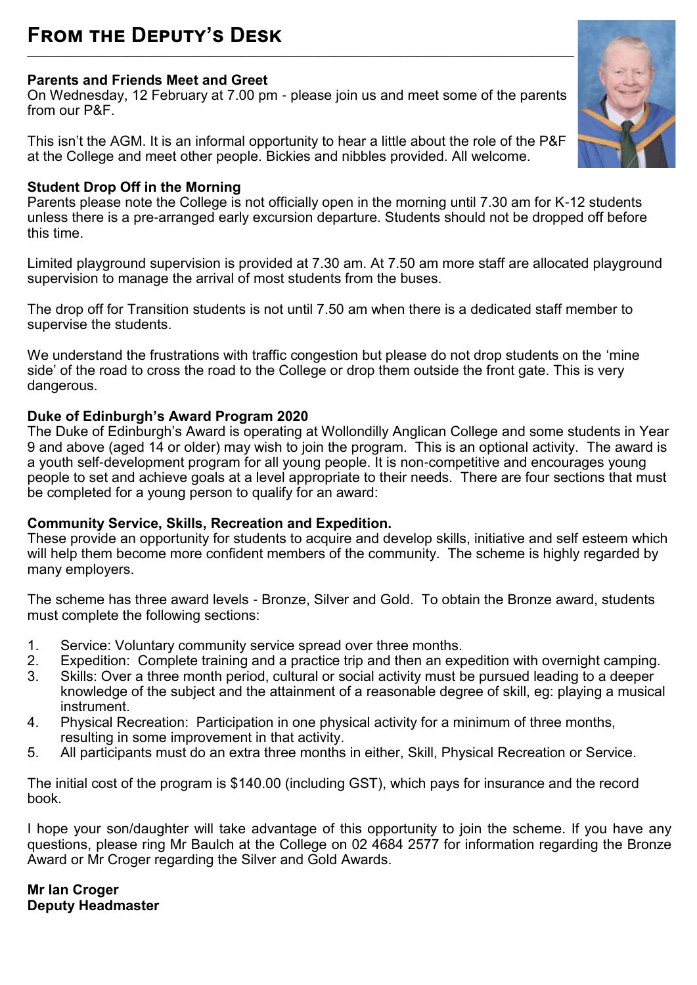### **From the Deputy's Desk \_\_\_\_\_\_\_\_\_\_\_\_\_\_\_\_\_\_\_\_\_\_\_\_\_\_\_\_\_\_\_\_\_\_\_\_\_\_\_\_\_\_\_\_\_\_\_\_\_\_\_\_\_\_\_\_\_\_\_\_\_\_\_\_\_\_\_\_\_\_\_\_\_\_\_\_\_\_\_\_\_\_\_\_\_\_\_\_\_\_\_\_\_\_\_\_\_\_\_\_\_\_\_\_\_**

#### **Parents and Friends Meet and Greet**

On Wednesday, 12 February at 7.00 pm - please join us and meet some of the parents from our P&F.

This isn't the AGM. It is an informal opportunity to hear a little about the role of the P&F at the College and meet other people. Bickies and nibbles provided. All welcome.

### **Student Drop Off in the Morning**

Parents please note the College is not officially open in the morning until 7.30 am for K-12 students unless there is a pre-arranged early excursion departure. Students should not be dropped off before this time.

Limited playground supervision is provided at 7.30 am. At 7.50 am more staff are allocated playground supervision to manage the arrival of most students from the buses.

The drop off for Transition students is not until 7.50 am when there is a dedicated staff member to supervise the students.

We understand the frustrations with traffic congestion but please do not drop students on the 'mine side' of the road to cross the road to the College or drop them outside the front gate. This is very dangerous.

### **Duke of Edinburgh's Award Program 2020**

The Duke of Edinburgh's Award is operating at Wollondilly Anglican College and some students in Year 9 and above (aged 14 or older) may wish to join the program. This is an optional activity. The award is a youth self-development program for all young people. It is non-competitive and encourages young people to set and achieve goals at a level appropriate to their needs. There are four sections that must be completed for a young person to qualify for an award:

#### **Community Service, Skills, Recreation and Expedition.**

These provide an opportunity for students to acquire and develop skills, initiative and self esteem which will help them become more confident members of the community. The scheme is highly regarded by many employers.

The scheme has three award levels - Bronze, Silver and Gold. To obtain the Bronze award, students must complete the following sections:

- 1. Service: Voluntary community service spread over three months.
- 2. Expedition: Complete training and a practice trip and then an expedition with overnight camping.<br>3. Skills: Over a three month period, cultural or social activity must be pursued leading to a deeper
- Skills: Over a three month period, cultural or social activity must be pursued leading to a deeper knowledge of the subject and the attainment of a reasonable degree of skill, eg: playing a musical instrument.
- 4. Physical Recreation: Participation in one physical activity for a minimum of three months, resulting in some improvement in that activity.
- 5. All participants must do an extra three months in either, Skill, Physical Recreation or Service.

The initial cost of the program is \$140.00 (including GST), which pays for insurance and the record book.

I hope your son/daughter will take advantage of this opportunity to join the scheme. If you have any questions, please ring Mr Baulch at the College on 02 4684 2577 for information regarding the Bronze Award or Mr Croger regarding the Silver and Gold Awards.

### **Mr Ian Croger Deputy Headmaster**

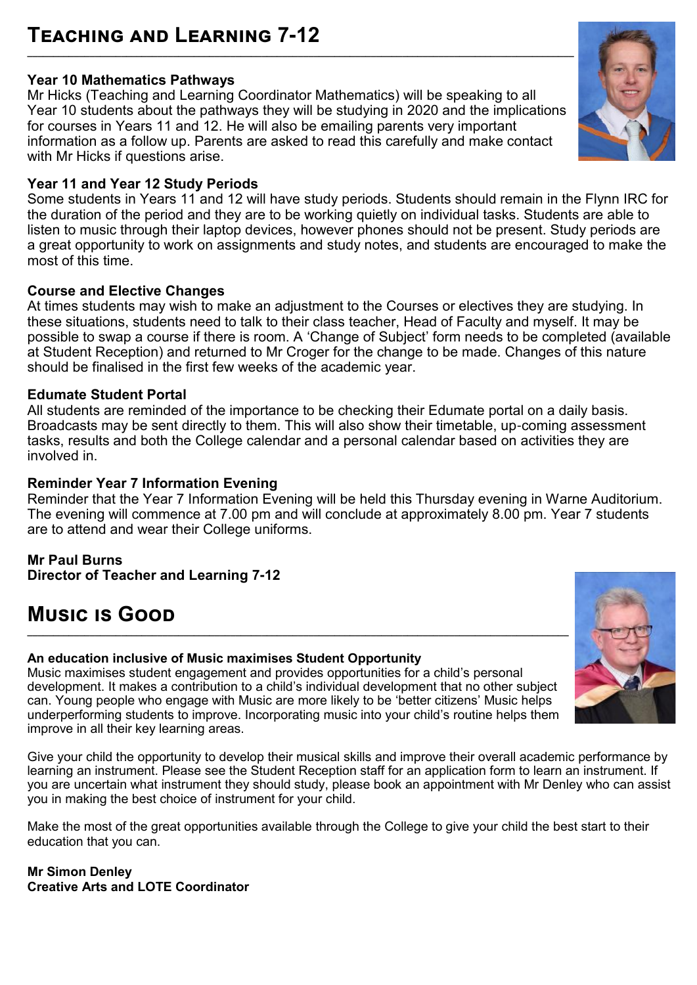### **Teaching and Learning 7-12 \_\_\_\_\_\_\_\_\_\_\_\_\_\_\_\_\_\_\_\_\_\_\_\_\_\_\_\_\_\_\_\_\_\_\_\_\_\_\_\_\_\_\_\_\_\_\_\_\_\_\_\_\_\_\_\_\_\_\_\_\_\_\_\_\_\_\_\_\_\_\_\_\_\_\_\_\_\_\_\_\_\_\_\_\_\_\_\_\_\_\_\_\_\_\_\_\_\_\_\_\_\_\_\_\_**

# **Year 10 Mathematics Pathways**

Mr Hicks (Teaching and Learning Coordinator Mathematics) will be speaking to all Year 10 students about the pathways they will be studying in 2020 and the implications for courses in Years 11 and 12. He will also be emailing parents very important information as a follow up. Parents are asked to read this carefully and make contact with Mr Hicks if questions arise.

# **Year 11 and Year 12 Study Periods**

Some students in Years 11 and 12 will have study periods. Students should remain in the Flynn IRC for the duration of the period and they are to be working quietly on individual tasks. Students are able to listen to music through their laptop devices, however phones should not be present. Study periods are a great opportunity to work on assignments and study notes, and students are encouraged to make the most of this time.

# **Course and Elective Changes**

At times students may wish to make an adjustment to the Courses or electives they are studying. In these situations, students need to talk to their class teacher, Head of Faculty and myself. It may be possible to swap a course if there is room. A 'Change of Subject' form needs to be completed (available at Student Reception) and returned to Mr Croger for the change to be made. Changes of this nature should be finalised in the first few weeks of the academic year.

# **Edumate Student Portal**

All students are reminded of the importance to be checking their Edumate portal on a daily basis. Broadcasts may be sent directly to them. This will also show their timetable, up-coming assessment tasks, results and both the College calendar and a personal calendar based on activities they are involved in.

# **Reminder Year 7 Information Evening**

Reminder that the Year 7 Information Evening will be held this Thursday evening in Warne Auditorium. The evening will commence at 7.00 pm and will conclude at approximately 8.00 pm. Year 7 students are to attend and wear their College uniforms.

### **Mr Paul Burns**

**Director of Teacher and Learning 7-12**

# **Music is Good**

# **An education inclusive of Music maximises Student Opportunity**

Music maximises student engagement and provides opportunities for a child's personal development. It makes a contribution to a child's individual development that no other subject can. Young people who engage with Music are more likely to be 'better citizens' Music helps underperforming students to improve. Incorporating music into your child's routine helps them improve in all their key learning areas.

Give your child the opportunity to develop their musical skills and improve their overall academic performance by learning an instrument. Please see the Student Reception staff for an application form to learn an instrument. If you are uncertain what instrument they should study, please book an appointment with Mr Denley who can assist you in making the best choice of instrument for your child.

Make the most of the great opportunities available through the College to give your child the best start to their education that you can.

#### **Mr Simon Denley Creative Arts and LOTE Coordinator**



![](_page_3_Picture_20.jpeg)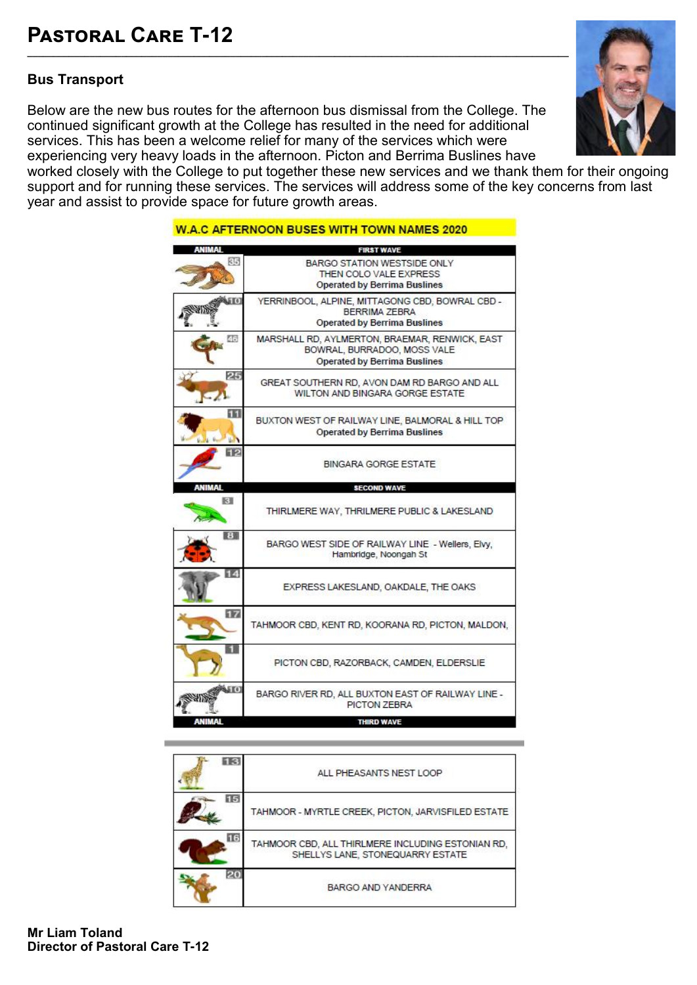### **Bus Transport**

Below are the new bus routes for the afternoon bus dismissal from the College. The continued significant growth at the College has resulted in the need for additional services. This has been a welcome relief for many of the services which were experiencing very heavy loads in the afternoon. Picton and Berrima Buslines have

![](_page_4_Picture_3.jpeg)

worked closely with the College to put together these new services and we thank them for their ongoing support and for running these services. The services will address some of the key concerns from last year and assist to provide space for future growth areas.

|        | <b>FIRST WAVE</b>                                                                                                    |
|--------|----------------------------------------------------------------------------------------------------------------------|
| 85     | BARGO STATION WESTSIDE ONLY<br>THEN COLO VALE EXPRESS<br><b>Operated by Berrima Buslines</b>                         |
|        | YERRINBOOL, ALPINE, MITTAGONG CBD, BOWRAL CBD -<br>BERRIMA ZEBRA<br><b>Operated by Berrima Buslines</b>              |
| 46     | MARSHALL RD, AYLMERTON, BRAEMAR, RENWICK, EAST<br>BOWRAL, BURRADOO, MOSS VALE<br><b>Operated by Berrima Buslines</b> |
| 25     | GREAT SOUTHERN RD, AVON DAM RD BARGO AND ALL<br>WILTON AND BINGARA GORGE ESTATE                                      |
|        | BUXTON WEST OF RAILWAY LINE, BALMORAL & HILL TOP<br><b>Operated by Berrima Buslines</b>                              |
|        | <b>BINGARA GORGE ESTATE</b>                                                                                          |
| ANIMAL | <b>SECOND WAVE</b>                                                                                                   |
| K.     | THIRLMERE WAY, THRILMERE PUBLIC & LAKESLAND                                                                          |
| в      | BARGO WEST SIDE OF RAILWAY LINE - Wellers, Elvy,<br>Hambridge, Noongah St                                            |
| 14     | EXPRESS LAKESLAND, OAKDALE, THE OAKS                                                                                 |
| 127    | TAHMOOR CBD, KENT RD, KOORANA RD, PICTON, MALDON,                                                                    |
|        | PICTON CBD, RAZORBACK, CAMDEN, ELDERSLIE                                                                             |
|        |                                                                                                                      |
|        | BARGO RIVER RD, ALL BUXTON EAST OF RAILWAY LINE -<br>PICTON ZEBRA                                                    |

| ALL PHEASANTS NEST LOOP                                                               |
|---------------------------------------------------------------------------------------|
| TAHMOOR - MYRTLE CREEK, PICTON, JARVISFILED ESTATE                                    |
| TAHMOOR CBD, ALL THIRLMERE INCLUDING ESTONIAN RD,<br>SHELLYS LANE, STONEQUARRY ESTATE |
| BARGO AND YANDERRA                                                                    |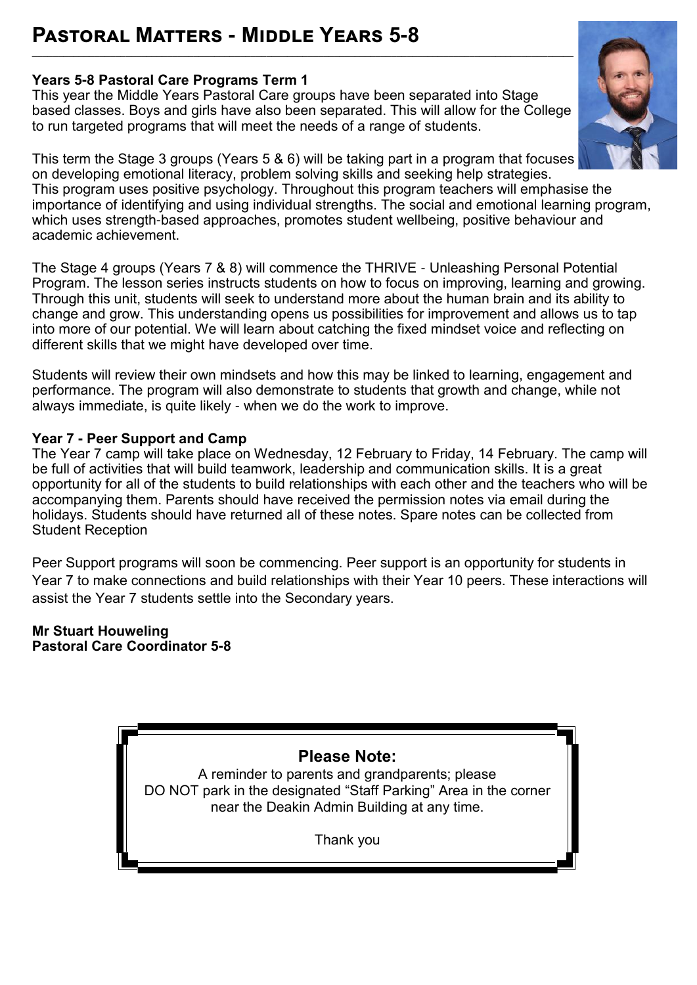# **Pastoral Matters - Middle Years 5-8**

### **Years 5-8 Pastoral Care Programs Term 1**

This year the Middle Years Pastoral Care groups have been separated into Stage based classes. Boys and girls have also been separated. This will allow for the College to run targeted programs that will meet the needs of a range of students.

**\_\_\_\_\_\_\_\_\_\_\_\_\_\_\_\_\_\_\_\_\_\_\_\_\_\_\_\_\_\_\_\_\_\_\_\_\_\_\_\_\_\_\_\_\_\_\_\_\_\_\_\_\_\_\_\_\_\_\_\_\_\_\_\_\_\_\_\_\_\_\_\_\_\_\_\_\_\_\_\_\_\_\_\_\_\_\_\_\_\_\_\_\_\_\_\_\_\_\_\_\_\_\_\_**

This term the Stage 3 groups (Years 5 & 6) will be taking part in a program that focuses on developing emotional literacy, problem solving skills and seeking help strategies. This program uses positive psychology. Throughout this program teachers will emphasise the importance of identifying and using individual strengths. The social and emotional learning program, which uses strength-based approaches, promotes student wellbeing, positive behaviour and academic achievement.

The Stage 4 groups (Years 7 & 8) will commence the THRIVE - Unleashing Personal Potential Program. The lesson series instructs students on how to focus on improving, learning and growing. Through this unit, students will seek to understand more about the human brain and its ability to change and grow. This understanding opens us possibilities for improvement and allows us to tap into more of our potential. We will learn about catching the fixed mindset voice and reflecting on different skills that we might have developed over time.

Students will review their own mindsets and how this may be linked to learning, engagement and performance. The program will also demonstrate to students that growth and change, while not always immediate, is quite likely - when we do the work to improve.

### **Year 7 - Peer Support and Camp**

The Year 7 camp will take place on Wednesday, 12 February to Friday, 14 February. The camp will be full of activities that will build teamwork, leadership and communication skills. It is a great opportunity for all of the students to build relationships with each other and the teachers who will be accompanying them. Parents should have received the permission notes via email during the holidays. Students should have returned all of these notes. Spare notes can be collected from Student Reception

Peer Support programs will soon be commencing. Peer support is an opportunity for students in Year 7 to make connections and build relationships with their Year 10 peers. These interactions will assist the Year 7 students settle into the Secondary years.

**Mr Stuart Houweling Pastoral Care Coordinator 5-8**

**Please Note:** 

A reminder to parents and grandparents; please DO NOT park in the designated "Staff Parking" Area in the corner near the Deakin Admin Building at any time.

Thank you

![](_page_5_Picture_13.jpeg)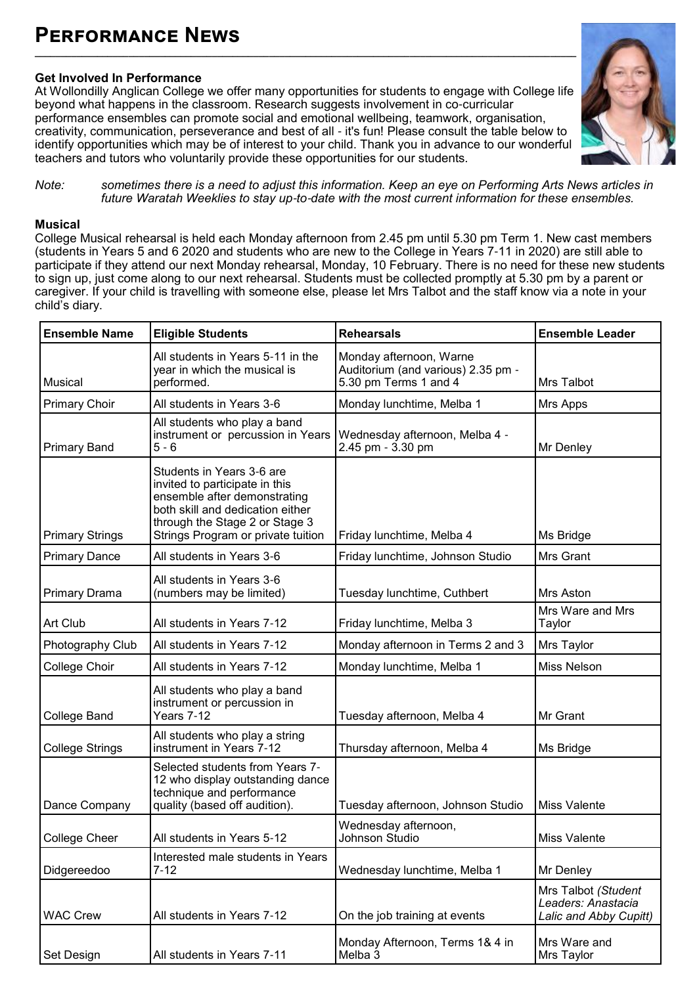# **Performance News**

### **Get Involved In Performance**

At Wollondilly Anglican College we offer many opportunities for students to engage with College life beyond what happens in the classroom. Research suggests involvement in co-curricular performance ensembles can promote social and emotional wellbeing, teamwork, organisation, creativity, communication, perseverance and best of all - it's fun! Please consult the table below to identify opportunities which may be of interest to your child. Thank you in advance to our wonderful teachers and tutors who voluntarily provide these opportunities for our students.

**\_\_\_\_\_\_\_\_\_\_\_\_\_\_\_\_\_\_\_\_\_\_\_\_\_\_\_\_\_\_\_\_\_\_\_\_\_\_\_\_\_\_\_\_\_\_\_\_\_\_\_\_\_\_\_\_\_\_\_\_\_\_\_\_\_\_\_\_\_\_\_\_\_\_\_\_\_\_\_\_\_\_\_\_\_\_\_\_\_\_\_\_\_\_\_\_\_\_\_\_\_\_\_\_**

![](_page_6_Picture_3.jpeg)

*Note: sometimes there is a need to adjust this information. Keep an eye on Performing Arts News articles in future Waratah Weeklies to stay up-to-date with the most current information for these ensembles.*

#### **Musical**

College Musical rehearsal is held each Monday afternoon from 2.45 pm until 5.30 pm Term 1. New cast members (students in Years 5 and 6 2020 and students who are new to the College in Years 7-11 in 2020) are still able to participate if they attend our next Monday rehearsal, Monday, 10 February. There is no need for these new students to sign up, just come along to our next rehearsal. Students must be collected promptly at 5.30 pm by a parent or caregiver. If your child is travelling with someone else, please let Mrs Talbot and the staff know via a note in your child's diary.

| <b>Ensemble Name</b>   | <b>Eligible Students</b>                                                                                                                                                                                | <b>Rehearsals</b>                                                                      | <b>Ensemble Leader</b>                                              |
|------------------------|---------------------------------------------------------------------------------------------------------------------------------------------------------------------------------------------------------|----------------------------------------------------------------------------------------|---------------------------------------------------------------------|
| Musical                | All students in Years 5-11 in the<br>year in which the musical is<br>performed.                                                                                                                         | Monday afternoon, Warne<br>Auditorium (and various) 2.35 pm -<br>5.30 pm Terms 1 and 4 | Mrs Talbot                                                          |
| <b>Primary Choir</b>   | All students in Years 3-6                                                                                                                                                                               | Monday lunchtime, Melba 1                                                              | Mrs Apps                                                            |
| <b>Primary Band</b>    | All students who play a band<br>instrument or percussion in Years<br>$5 - 6$                                                                                                                            | Wednesday afternoon, Melba 4 -<br>2.45 pm - 3.30 pm                                    | Mr Denley                                                           |
| <b>Primary Strings</b> | Students in Years 3-6 are<br>invited to participate in this<br>ensemble after demonstrating<br>both skill and dedication either<br>through the Stage 2 or Stage 3<br>Strings Program or private tuition | Friday lunchtime, Melba 4                                                              | Ms Bridge                                                           |
| <b>Primary Dance</b>   | All students in Years 3-6                                                                                                                                                                               | Friday lunchtime, Johnson Studio                                                       | Mrs Grant                                                           |
| Primary Drama          | All students in Years 3-6<br>(numbers may be limited)                                                                                                                                                   | Tuesday lunchtime, Cuthbert                                                            | Mrs Aston                                                           |
| Art Club               | All students in Years 7-12                                                                                                                                                                              | Friday lunchtime, Melba 3                                                              | Mrs Ware and Mrs<br>Taylor                                          |
| Photography Club       | All students in Years 7-12                                                                                                                                                                              | Monday afternoon in Terms 2 and 3                                                      | Mrs Taylor                                                          |
| College Choir          | All students in Years 7-12                                                                                                                                                                              | Monday lunchtime, Melba 1                                                              | Miss Nelson                                                         |
| <b>College Band</b>    | All students who play a band<br>instrument or percussion in<br>Years 7-12                                                                                                                               | Tuesday afternoon, Melba 4                                                             | Mr Grant                                                            |
| <b>College Strings</b> | All students who play a string<br>instrument in Years 7-12                                                                                                                                              | Thursday afternoon, Melba 4                                                            | Ms Bridge                                                           |
| Dance Company          | Selected students from Years 7-<br>12 who display outstanding dance<br>technique and performance<br>quality (based off audition).                                                                       | Tuesday afternoon, Johnson Studio                                                      | Miss Valente                                                        |
| College Cheer          | All students in Years 5-12                                                                                                                                                                              | Wednesday afternoon,<br>Johnson Studio                                                 | Miss Valente                                                        |
| Didgereedoo            | Interested male students in Years<br>$7 - 12$                                                                                                                                                           | Wednesday lunchtime, Melba 1                                                           | Mr Denley                                                           |
| <b>WAC Crew</b>        | All students in Years 7-12                                                                                                                                                                              | On the job training at events                                                          | Mrs Talbot (Student<br>Leaders: Anastacia<br>Lalic and Abby Cupitt) |
| Set Design             | All students in Years 7-11                                                                                                                                                                              | Monday Afternoon, Terms 1& 4 in<br>Melba 3                                             | Mrs Ware and<br>Mrs Taylor                                          |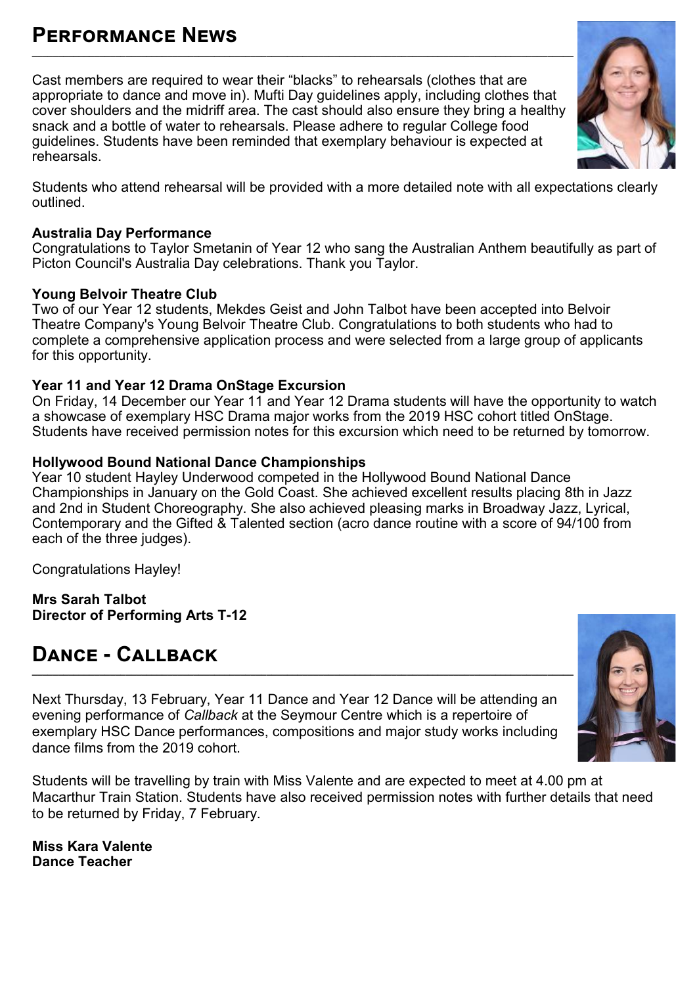### **Performance News \_\_\_\_\_\_\_\_\_\_\_\_\_\_\_\_\_\_\_\_\_\_\_\_\_\_\_\_\_\_\_\_\_\_\_\_\_\_\_\_\_\_\_\_\_\_\_\_\_\_\_\_\_\_\_\_\_\_\_\_\_\_\_\_\_\_\_\_\_\_\_\_\_\_\_\_\_\_\_\_\_\_\_\_\_\_\_\_\_\_\_\_\_\_\_\_\_\_\_\_\_\_\_\_**

Cast members are required to wear their "blacks" to rehearsals (clothes that are appropriate to dance and move in). Mufti Day guidelines apply, including clothes that cover shoulders and the midriff area. The cast should also ensure they bring a healthy snack and a bottle of water to rehearsals. Please adhere to regular College food guidelines. Students have been reminded that exemplary behaviour is expected at rehearsals.

Students who attend rehearsal will be provided with a more detailed note with all expectations clearly outlined.

### **Australia Day Performance**

Congratulations to Taylor Smetanin of Year 12 who sang the Australian Anthem beautifully as part of Picton Council's Australia Day celebrations. Thank you Taylor.

### **Young Belvoir Theatre Club**

Two of our Year 12 students, Mekdes Geist and John Talbot have been accepted into Belvoir Theatre Company's Young Belvoir Theatre Club. Congratulations to both students who had to complete a comprehensive application process and were selected from a large group of applicants for this opportunity.

### **Year 11 and Year 12 Drama OnStage Excursion**

On Friday, 14 December our Year 11 and Year 12 Drama students will have the opportunity to watch a showcase of exemplary HSC Drama major works from the 2019 HSC cohort titled OnStage. Students have received permission notes for this excursion which need to be returned by tomorrow.

### **Hollywood Bound National Dance Championships**

Year 10 student Hayley Underwood competed in the Hollywood Bound National Dance Championships in January on the Gold Coast. She achieved excellent results placing 8th in Jazz and 2nd in Student Choreography. She also achieved pleasing marks in Broadway Jazz, Lyrical, Contemporary and the Gifted & Talented section (acro dance routine with a score of 94/100 from each of the three judges).

Congratulations Hayley!

**Mrs Sarah Talbot Director of Performing Arts T-12**

# **Dance - Callback**

Next Thursday, 13 February, Year 11 Dance and Year 12 Dance will be attending an evening performance of *Callback* at the Seymour Centre which is a repertoire of exemplary HSC Dance performances, compositions and major study works including dance films from the 2019 cohort.

Students will be travelling by train with Miss Valente and are expected to meet at 4.00 pm at Macarthur Train Station. Students have also received permission notes with further details that need to be returned by Friday, 7 February.

**Miss Kara Valente Dance Teacher**

![](_page_7_Picture_17.jpeg)

![](_page_7_Picture_18.jpeg)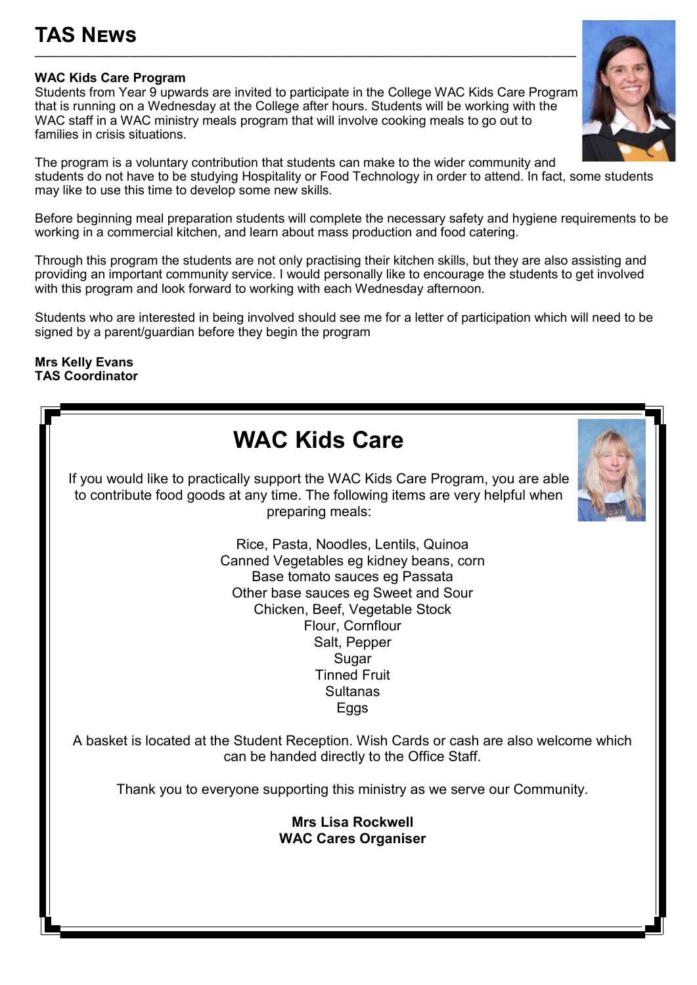# **TAS News**

#### **WAC Kids Care Program**

Students from Year 9 upwards are invited to participate in the College WAC Kids Care Program that is running on a Wednesday at the College after hours. Students will be working with the WAC staff in a WAC ministry meals program that will involve cooking meals to go out to families in crisis situations.

**\_\_\_\_\_\_\_\_\_\_\_\_\_\_\_\_\_\_\_\_\_\_\_\_\_\_\_\_\_\_\_\_\_\_\_\_\_\_\_\_\_\_\_\_\_\_\_\_\_\_\_\_\_\_\_\_\_\_\_\_\_\_\_\_\_\_\_\_\_\_\_\_\_\_\_\_\_\_\_\_\_\_\_\_\_\_\_\_\_\_\_\_\_\_\_\_\_\_\_\_\_\_\_\_**

The program is a voluntary contribution that students can make to the wider community and students do not have to be studying Hospitality or Food Technology in order to attend. In fact, some students may like to use this time to develop some new skills.

Before beginning meal preparation students will complete the necessary safety and hygiene requirements to be working in a commercial kitchen, and learn about mass production and food catering.

Through this program the students are not only practising their kitchen skills, but they are also assisting and providing an important community service. I would personally like to encourage the students to get involved with this program and look forward to working with each Wednesday afternoon.

Students who are interested in being involved should see me for a letter of participation which will need to be signed by a parent/guardian before they begin the program

#### **Mrs Kelly Evans TAS Coordinator**

| <b>WAC Kids Care</b>                                                                                                                                                                                                                                                                      |
|-------------------------------------------------------------------------------------------------------------------------------------------------------------------------------------------------------------------------------------------------------------------------------------------|
| If you would like to practically support the WAC Kids Care Program, you are able<br>to contribute food goods at any time. The following items are very helpful when<br>preparing meals:                                                                                                   |
| Rice, Pasta, Noodles, Lentils, Quinoa<br>Canned Vegetables eg kidney beans, corn<br>Base tomato sauces eg Passata<br>Other base sauces eg Sweet and Sour<br>Chicken, Beef, Vegetable Stock<br>Flour, Cornflour<br>Salt, Pepper<br>Sugar<br><b>Tinned Fruit</b><br><b>Sultanas</b><br>Eggs |
| A basket is located at the Student Reception. Wish Cards or cash are also welcome which<br>can be handed directly to the Office Staff.                                                                                                                                                    |
| Thank you to everyone supporting this ministry as we serve our Community.                                                                                                                                                                                                                 |
| <b>Mrs Lisa Rockwell</b><br><b>WAC Cares Organiser</b>                                                                                                                                                                                                                                    |

![](_page_8_Picture_9.jpeg)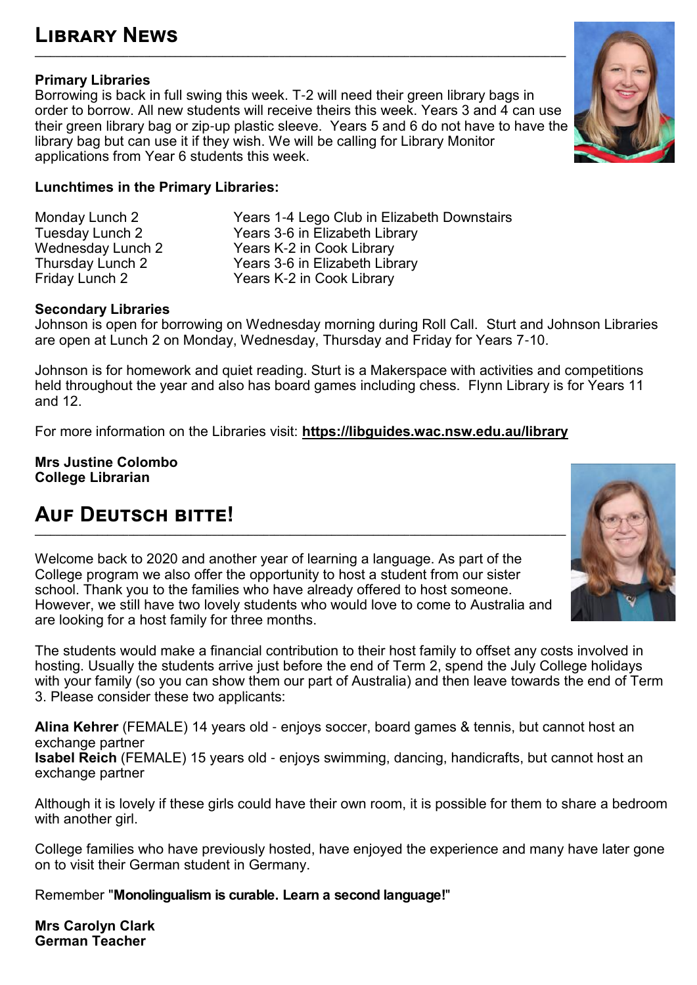### **Primary Libraries**

Borrowing is back in full swing this week. T-2 will need their green library bags in order to borrow. All new students will receive theirs this week. Years 3 and 4 can use their green library bag or zip-up plastic sleeve. Years 5 and 6 do not have to have the library bag but can use it if they wish. We will be calling for Library Monitor applications from Year 6 students this week.

**\_\_\_\_\_\_\_\_\_\_\_\_\_\_\_\_\_\_\_\_\_\_\_\_\_\_\_\_\_\_\_\_\_\_\_\_\_\_\_\_\_\_\_\_\_\_\_\_\_\_\_\_\_\_\_\_\_\_\_\_\_\_\_\_\_\_\_\_\_\_\_\_\_\_\_\_\_\_\_\_\_\_\_\_\_\_\_\_\_\_\_\_\_\_\_\_\_\_\_\_\_\_**

### **Lunchtimes in the Primary Libraries:**

Monday Lunch 2 Years 1-4 Lego Club in Elizabeth Downstairs Tuesday Lunch 2 Years 3-6 in Elizabeth Library Wednesday Lunch 2 Thursday Lunch 2 Thursday Lunch 2 Thursday Lunch 2 Thursday Pears 3-6 in Elizabeth Library Thursday Lunch 2 Years 3-6 in Elizabeth Library Years K-2 in Cook Library

### **Secondary Libraries**

Johnson is open for borrowing on Wednesday morning during Roll Call. Sturt and Johnson Libraries are open at Lunch 2 on Monday, Wednesday, Thursday and Friday for Years 7-10.

Johnson is for homework and quiet reading. Sturt is a Makerspace with activities and competitions held throughout the year and also has board games including chess. Flynn Library is for Years 11 and 12.

For more information on the Libraries visit:**<https://libguides.wac.nsw.edu.au/library>**

**Mrs Justine Colombo College Librarian**

# **Auf Deutsch bitte!**

Welcome back to 2020 and another year of learning a language. As part of the College program we also offer the opportunity to host a student from our sister school. Thank you to the families who have already offered to host someone. However, we still have two lovely students who would love to come to Australia and are looking for a host family for three months.

The students would make a financial contribution to their host family to offset any costs involved in hosting. Usually the students arrive just before the end of Term 2, spend the July College holidays with your family (so you can show them our part of Australia) and then leave towards the end of Term 3. Please consider these two applicants:

**Alina Kehrer** (FEMALE) 14 years old - enjoys soccer, board games & tennis, but cannot host an exchange partner **Isabel Reich** (FEMALE) 15 years old - enjoys swimming, dancing, handicrafts, but cannot host an exchange partner

Although it is lovely if these girls could have their own room, it is possible for them to share a bedroom with another girl.

College families who have previously hosted, have enjoyed the experience and many have later gone on to visit their German student in Germany.

Remember "**Monolingualism is curable. Learn a second language!**"

**Mrs Carolyn Clark German Teacher**

![](_page_9_Picture_19.jpeg)

![](_page_9_Picture_20.jpeg)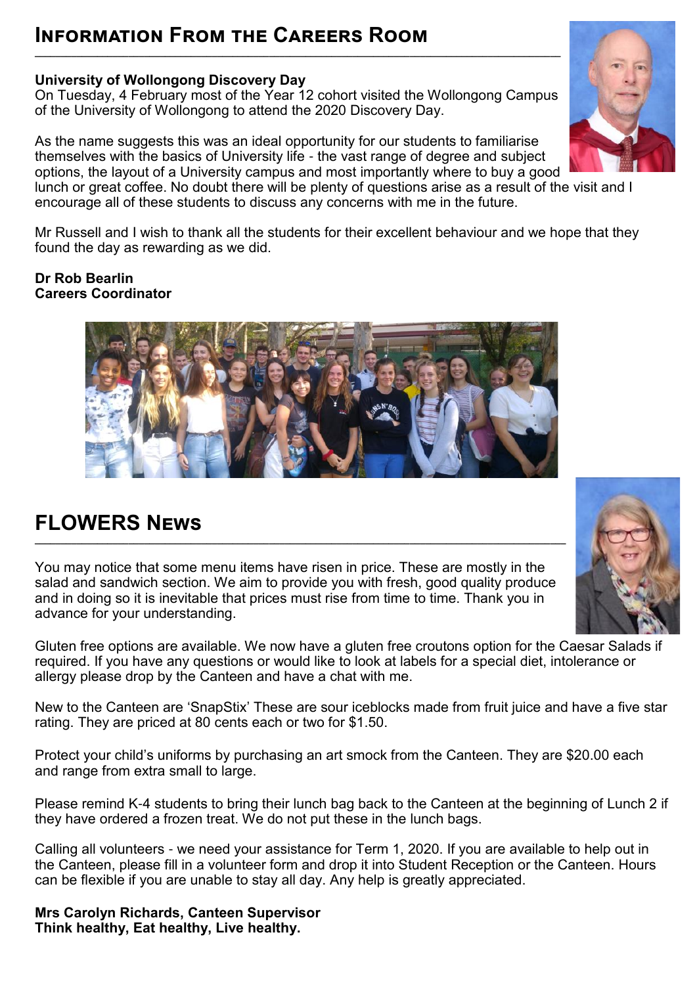# **INFORMATION FROM THE CAREERS ROOM**

### **University of Wollongong Discovery Day**

On Tuesday, 4 February most of the Year 12 cohort visited the Wollongong Campus of the University of Wollongong to attend the 2020 Discovery Day.

**\_\_\_\_\_\_\_\_\_\_\_\_\_\_\_\_\_\_\_\_\_\_\_\_\_\_\_\_\_\_\_\_\_\_\_\_\_\_\_\_\_\_\_\_\_\_\_\_\_\_\_\_\_\_\_\_\_\_\_\_\_\_\_\_\_\_\_\_\_\_\_\_\_\_\_\_\_\_\_\_\_\_\_\_\_\_\_\_\_\_\_\_\_\_\_\_\_\_\_\_\_**

As the name suggests this was an ideal opportunity for our students to familiarise themselves with the basics of University life - the vast range of degree and subject options, the layout of a University campus and most importantly where to buy a good lunch or great coffee. No doubt there will be plenty of questions arise as a result of the visit and I

encourage all of these students to discuss any concerns with me in the future.

Mr Russell and I wish to thank all the students for their excellent behaviour and we hope that they found the day as rewarding as we did.

**Dr Rob Bearlin Careers Coordinator** 

![](_page_10_Picture_7.jpeg)

# **FLOWERS News**

You may notice that some menu items have risen in price. These are mostly in the salad and sandwich section. We aim to provide you with fresh, good quality produce and in doing so it is inevitable that prices must rise from time to time. Thank you in advance for your understanding.

**\_\_\_\_\_\_\_\_\_\_\_\_\_\_\_\_\_\_\_\_\_\_\_\_\_\_\_\_\_\_\_\_\_\_\_\_\_\_\_\_\_\_\_\_\_\_\_\_\_\_\_\_\_\_\_\_\_\_\_\_\_\_\_\_\_\_\_\_\_\_\_\_\_\_\_\_\_\_\_\_\_\_\_\_\_\_\_\_\_\_\_\_\_\_\_\_\_\_\_\_\_\_**

Gluten free options are available. We now have a gluten free croutons option for the Caesar Salads if required. If you have any questions or would like to look at labels for a special diet, intolerance or allergy please drop by the Canteen and have a chat with me.

New to the Canteen are 'SnapStix' These are sour iceblocks made from fruit juice and have a five star rating. They are priced at 80 cents each or two for \$1.50.

Protect your child's uniforms by purchasing an art smock from the Canteen. They are \$20.00 each and range from extra small to large.

Please remind K-4 students to bring their lunch bag back to the Canteen at the beginning of Lunch 2 if they have ordered a frozen treat. We do not put these in the lunch bags.

Calling all volunteers - we need your assistance for Term 1, 2020. If you are available to help out in the Canteen, please fill in a volunteer form and drop it into Student Reception or the Canteen. Hours can be flexible if you are unable to stay all day. Any help is greatly appreciated.

**Mrs Carolyn Richards, Canteen Supervisor Think healthy, Eat healthy, Live healthy.**

![](_page_10_Picture_16.jpeg)

![](_page_10_Picture_17.jpeg)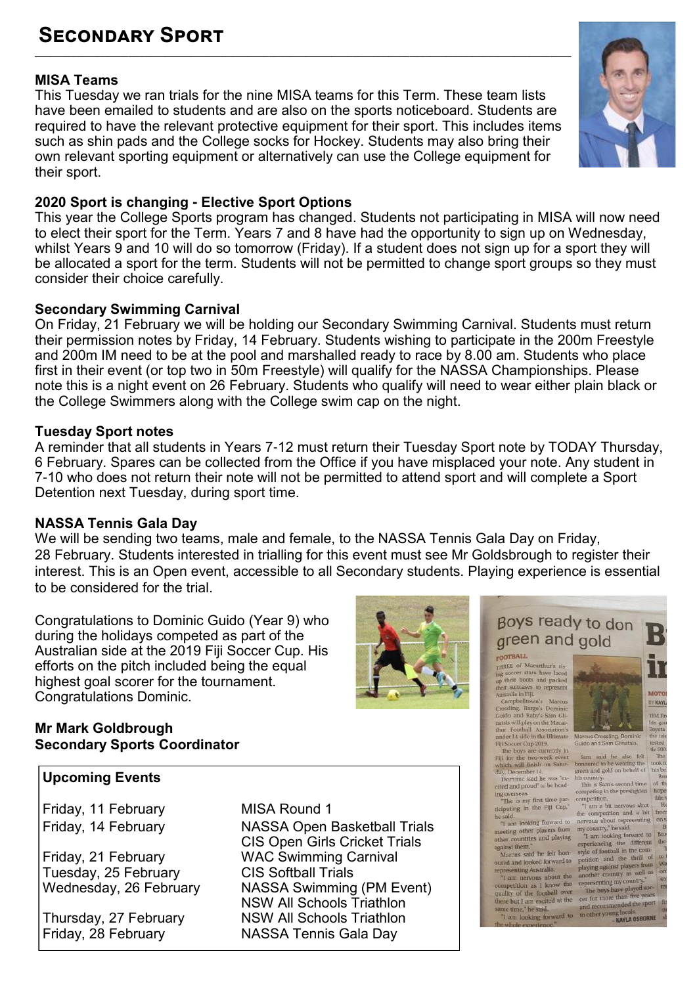### **Secondary Sport \_\_\_\_\_\_\_\_\_\_\_\_\_\_\_\_\_\_\_\_\_\_\_\_\_\_\_\_\_\_\_\_\_\_\_\_\_\_\_\_\_\_\_\_\_\_\_\_\_\_\_\_\_\_\_\_\_\_\_\_\_\_\_\_\_\_\_\_\_\_\_\_\_\_\_\_\_\_\_\_\_\_\_\_\_\_\_\_\_\_\_\_\_\_\_\_\_\_\_\_\_\_\_**

### **MISA Teams**

This Tuesday we ran trials for the nine MISA teams for this Term. These team lists have been emailed to students and are also on the sports noticeboard. Students are required to have the relevant protective equipment for their sport. This includes items such as shin pads and the College socks for Hockey. Students may also bring their own relevant sporting equipment or alternatively can use the College equipment for their sport.

### **2020 Sport is changing - Elective Sport Options**

This year the College Sports program has changed. Students not participating in MISA will now need to elect their sport for the Term. Years 7 and 8 have had the opportunity to sign up on Wednesday, whilst Years 9 and 10 will do so tomorrow (Friday). If a student does not sign up for a sport they will be allocated a sport for the term. Students will not be permitted to change sport groups so they must consider their choice carefully.

#### **Secondary Swimming Carnival**

On Friday, 21 February we will be holding our Secondary Swimming Carnival. Students must return their permission notes by Friday, 14 February. Students wishing to participate in the 200m Freestyle and 200m IM need to be at the pool and marshalled ready to race by 8.00 am. Students who place first in their event (or top two in 50m Freestyle) will qualify for the NASSA Championships. Please note this is a night event on 26 February. Students who qualify will need to wear either plain black or the College Swimmers along with the College swim cap on the night.

#### **Tuesday Sport notes**

A reminder that all students in Years 7-12 must return their Tuesday Sport note by TODAY Thursday, 6 February. Spares can be collected from the Office if you have misplaced your note. Any student in 7-10 who does not return their note will not be permitted to attend sport and will complete a Sport Detention next Tuesday, during sport time.

#### **NASSA Tennis Gala Day**

We will be sending two teams, male and female, to the NASSA Tennis Gala Day on Friday, 28 February. Students interested in trialling for this event must see Mr Goldsbrough to register their interest. This is an Open event, accessible to all Secondary students. Playing experience is essential to be considered for the trial.

Congratulations to Dominic Guido (Year 9) who during the holidays competed as part of the Australian side at the 2019 Fiji Soccer Cup. His efforts on the pitch included being the equal highest goal scorer for the tournament. Congratulations Dominic.

### **Mr Mark Goldbrough Secondary Sports Coordinator**

#### **Upcoming Events**

Friday, 11 February MISA Round 1

Friday, 21 February WAC Swimming Carnival Tuesday, 25 February CIS Softball Trials

Friday, 14 February NASSA Open Basketball Trials CIS Open Girls Cricket Trials Wednesday, 26 February NASSA Swimming (PM Event) NSW All Schools Triathlon Thursday, 27 February NSW All Schools Triathlon<br>Friday, 28 February NASSA Tennis Gala Day **NASSA Tennis Gala Day** 

![](_page_11_Picture_18.jpeg)

THREE of Macarthur's ris-<br>lng soccer stars have laced<br>up their boots and packed their suitcases to represent Campbelltown's Marcus Campbelltown's Marcus<br>Crossling Bargo's Dominic<br>Guido and Raby's Sam Gli-<br>natsis will play on the Macar-<br>thur Football Association's<br>under 14 side in the Ultimate

under 1 state in the other<br>Fijl Soccer Cup 2019.<br>The boys are currently in<br>Fijl for the two-week event<br>which will finish on Satur-<br>day, December 14.<br>Dominic said he was "ex-<br>cited and proud" to be head-

ing overseas.<br>"The is my first time par-<br>ticipating in the Fiji Cup,"

![](_page_11_Picture_26.jpeg)

Sam said he also felt<br>honoured to be wearing the Sam said he also let<br>honoured to be wearing the<br>green and gold on behalf of<br>his country. took t his bo

Browntry.<br>This is Sam's second time of the<br>competition.<br>competition. The meridian intervals about<br>"I am a bit nervous about the competition.

Br

The is my mass the Fig. Cup," The and the energy of the computation and a bit<br>the said.<br>The method of the computation and a bit<br>meeting other players from my country," he said.<br>The method of the property of the countries a  $one$ 

"1 am looking forward to nervous about representing ones the<br>ending offer players from my country," he said.<br>
other countries and playing "7 am looking forward to Broad<br>
other countries and playing "7 am looking forward t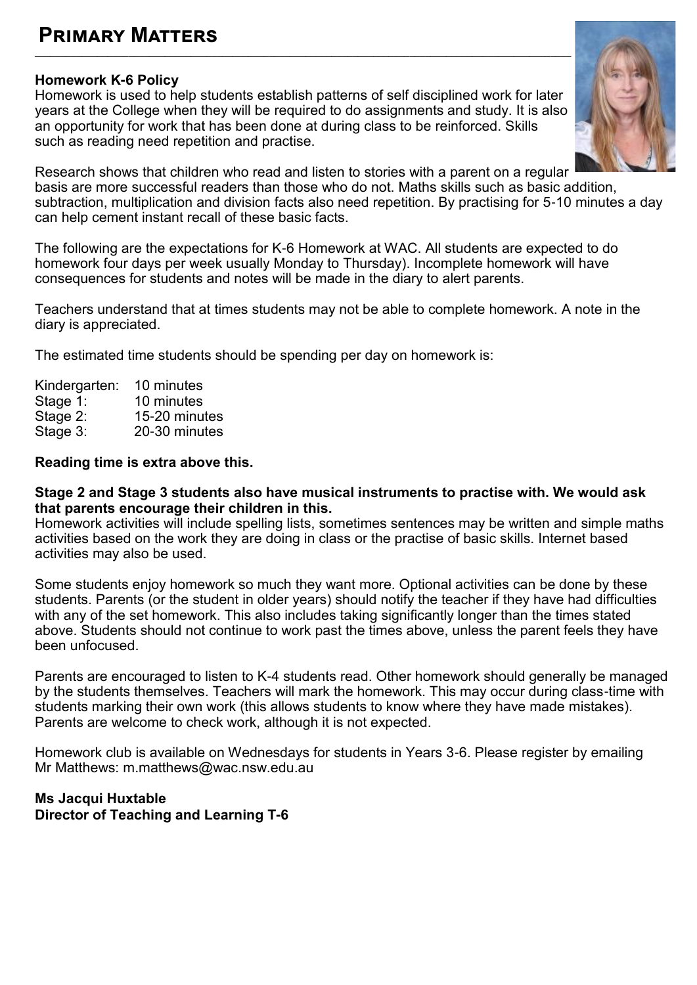# **Primary Matters**

### **Homework K-6 Policy**

Homework is used to help students establish patterns of self disciplined work for later years at the College when they will be required to do assignments and study. It is also an opportunity for work that has been done at during class to be reinforced. Skills such as reading need repetition and practise.

**\_\_\_\_\_\_\_\_\_\_\_\_\_\_\_\_\_\_\_\_\_\_\_\_\_\_\_\_\_\_\_\_\_\_\_\_\_\_\_\_\_\_\_\_\_\_\_\_\_\_\_\_\_\_\_\_\_\_\_\_\_\_\_\_\_\_\_\_\_\_\_\_\_\_\_\_\_\_\_\_\_\_\_\_\_\_\_\_\_\_\_\_\_\_\_\_\_\_\_\_\_\_\_**

![](_page_12_Picture_3.jpeg)

Research shows that children who read and listen to stories with a parent on a regular basis are more successful readers than those who do not. Maths skills such as basic addition, subtraction, multiplication and division facts also need repetition. By practising for 5-10 minutes a day can help cement instant recall of these basic facts.

The following are the expectations for K-6 Homework at WAC. All students are expected to do homework four days per week usually Monday to Thursday). Incomplete homework will have consequences for students and notes will be made in the diary to alert parents.

Teachers understand that at times students may not be able to complete homework. A note in the diary is appreciated.

The estimated time students should be spending per day on homework is:

| 10 minutes    |
|---------------|
| 10 minutes    |
| 15-20 minutes |
| 20-30 minutes |
|               |

#### **Reading time is extra above this.**

#### **Stage 2 and Stage 3 students also have musical instruments to practise with. We would ask that parents encourage their children in this.**

Homework activities will include spelling lists, sometimes sentences may be written and simple maths activities based on the work they are doing in class or the practise of basic skills. Internet based activities may also be used.

Some students enjoy homework so much they want more. Optional activities can be done by these students. Parents (or the student in older years) should notify the teacher if they have had difficulties with any of the set homework. This also includes taking significantly longer than the times stated above. Students should not continue to work past the times above, unless the parent feels they have been unfocused.

Parents are encouraged to listen to K-4 students read. Other homework should generally be managed by the students themselves. Teachers will mark the homework. This may occur during class-time with students marking their own work (this allows students to know where they have made mistakes). Parents are welcome to check work, although it is not expected.

Homework club is available on Wednesdays for students in Years 3-6. Please register by emailing Mr Matthews: m.matthews@wac.nsw.edu.au

#### **Ms Jacqui Huxtable Director of Teaching and Learning T-6**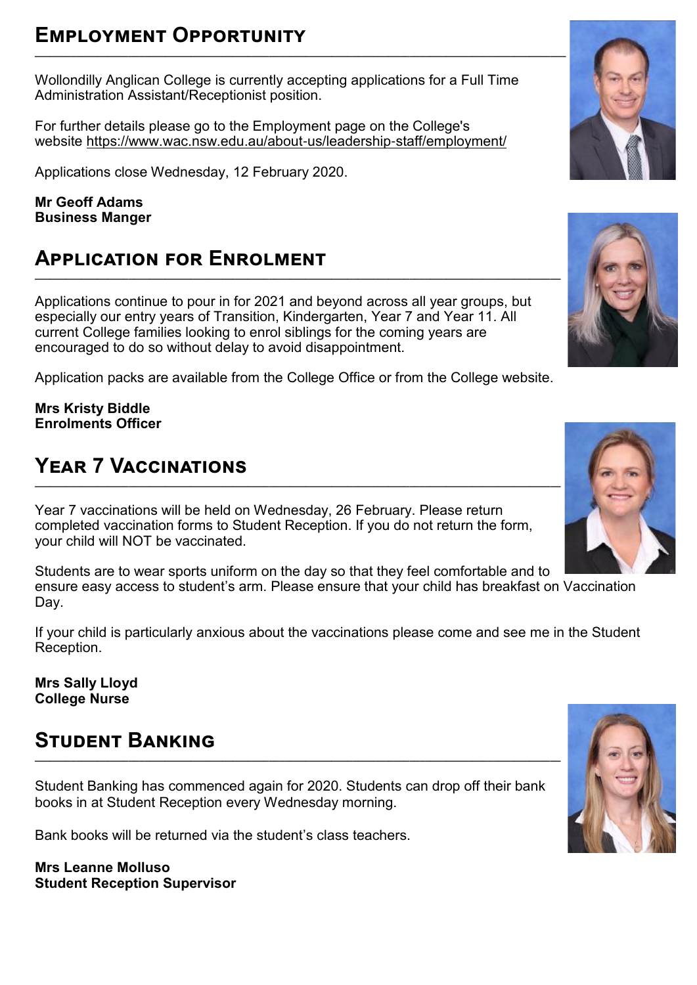# **Employment Opportunity**

Wollondilly Anglican College is currently accepting applications for a Full Time Administration Assistant/Receptionist position.

For further details please go to the Employment page on the College's website [https://www.wac.nsw.edu.au/about](https://www.wac.nsw.edu.au/about-us/leadership-staff/employment/)-us/leadership-staff/employment/

Applications close Wednesday, 12 February 2020.

**Mr Geoff Adams Business Manger** 

# **Application for Enrolment**

Applications continue to pour in for 2021 and beyond across all year groups, but especially our entry years of Transition, Kindergarten, Year 7 and Year 11. All current College families looking to enrol siblings for the coming years are encouraged to do so without delay to avoid disappointment.

Application packs are available from the College Office or from the College website.

**Mrs Kristy Biddle Enrolments Officer**

# **Year 7 Vaccinations**

Year 7 vaccinations will be held on Wednesday, 26 February. Please return completed vaccination forms to Student Reception. If you do not return the form, your child will NOT be vaccinated.

Students are to wear sports uniform on the day so that they feel comfortable and to ensure easy access to student's arm. Please ensure that your child has breakfast on Vaccination Day.

If your child is particularly anxious about the vaccinations please come and see me in the Student Reception.

**Mrs Sally Lloyd College Nurse**

# **Student Banking**

Student Banking has commenced again for 2020. Students can drop off their bank books in at Student Reception every Wednesday morning.

Bank books will be returned via the student's class teachers.

**Mrs Leanne Molluso Student Reception Supervisor** 

![](_page_13_Picture_18.jpeg)

![](_page_13_Picture_19.jpeg)

![](_page_13_Picture_20.jpeg)

![](_page_13_Picture_21.jpeg)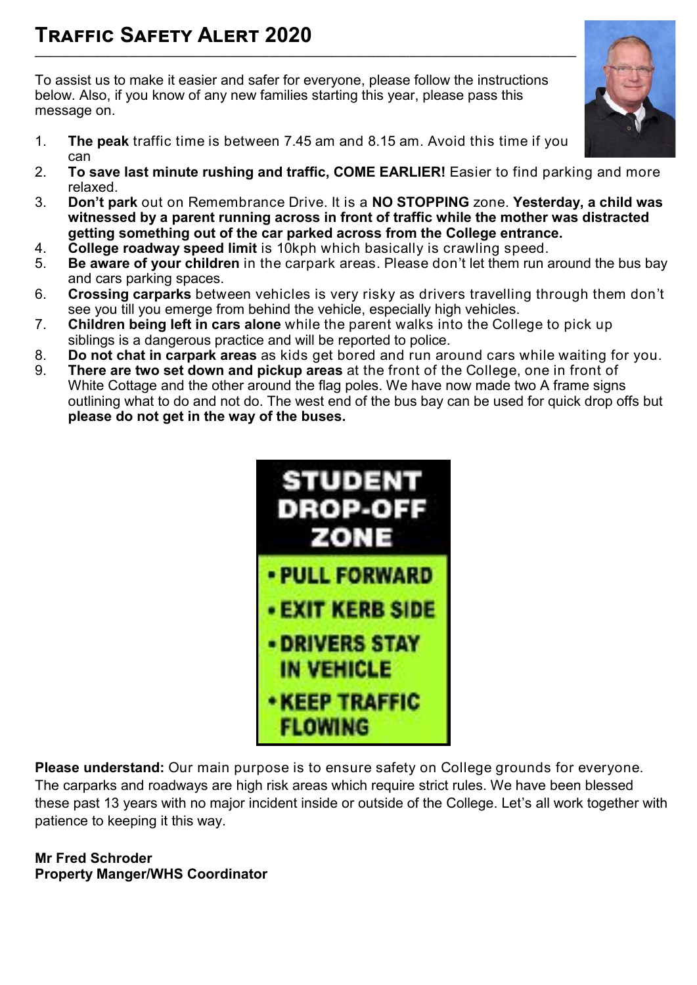To assist us to make it easier and safer for everyone, please follow the instructions below. Also, if you know of any new families starting this year, please pass this message on.

- 1. **The peak** traffic time is between 7.45 am and 8.15 am. Avoid this time if you can
- 2. **To save last minute rushing and traffic, COME EARLIER!** Easier to find parking and more relaxed.
- 3. **Don't park** out on Remembrance Drive. It is a **NO STOPPING** zone. **Yesterday, a child was witnessed by a parent running across in front of traffic while the mother was distracted getting something out of the car parked across from the College entrance.**
- 4. **College roadway speed limit** is 10kph which basically is crawling speed.
- 5. **Be aware of your children** in the carpark areas. Please don't let them run around the bus bay and cars parking spaces.
- 6. **Crossing carparks** between vehicles is very risky as drivers travelling through them don't see you till you emerge from behind the vehicle, especially high vehicles.
- 7. **Children being left in cars alone** while the parent walks into the College to pick up siblings is a dangerous practice and will be reported to police.
- 8. **Do not chat in carpark areas** as kids get bored and run around cars while waiting for you.
- 9. **There are two set down and pickup areas** at the front of the College, one in front of White Cottage and the other around the flag poles. We have now made two A frame signs outlining what to do and not do. The west end of the bus bay can be used for quick drop offs but **please do not get in the way of the buses.**

![](_page_14_Picture_11.jpeg)

**Please understand:** Our main purpose is to ensure safety on College grounds for everyone. The carparks and roadways are high risk areas which require strict rules. We have been blessed these past 13 years with no major incident inside or outside of the College. Let's all work together with patience to keeping it this way.

**Mr Fred Schroder Property Manger/WHS Coordinator** 

![](_page_14_Picture_14.jpeg)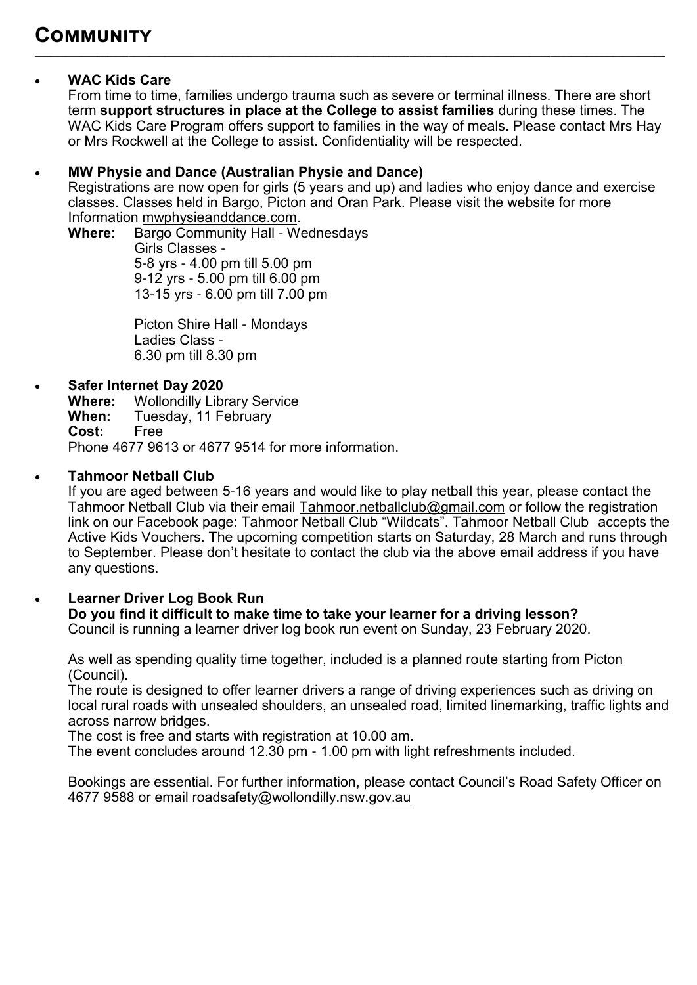### **WAC Kids Care**

From time to time, families undergo trauma such as severe or terminal illness. There are short term **support structures in place at the College to assist families** during these times. The WAC Kids Care Program offers support to families in the way of meals. Please contact Mrs Hay or Mrs Rockwell at the College to assist. Confidentiality will be respected.

**\_\_\_\_\_\_\_\_\_\_\_\_\_\_\_\_\_\_\_\_\_\_\_\_\_\_\_\_\_\_\_\_\_\_\_\_\_\_\_\_\_\_\_\_\_\_\_\_\_\_\_\_\_\_\_\_\_\_\_\_\_\_\_\_\_\_\_\_\_\_\_\_\_\_\_\_\_\_\_\_\_\_\_\_\_\_\_\_\_\_\_\_\_\_\_\_\_\_\_\_\_\_\_\_\_\_\_\_\_\_\_\_\_\_\_\_\_\_\_\_\_**

### **MW Physie and Dance (Australian Physie and Dance)**

Registrations are now open for girls (5 years and up) and ladies who enjoy dance and exercise classes. Classes held in Bargo, Picton and Oran Park. Please visit the website for more Information [mwphysieanddance.com.](http://mwphysieanddance.com/)

**Where:** Bargo Community Hall - Wednesdays Girls Classes - 5-8 yrs - 4.00 pm till 5.00 pm 9-12 yrs - 5.00 pm till 6.00 pm 13-15 yrs - 6.00 pm till 7.00 pm

> Picton Shire Hall - Mondays Ladies Class - 6.30 pm till 8.30 pm

### **Safer Internet Day 2020**

**Where:** Wollondilly Library Service<br> **When:** Tuesday, 11 February Tuesday, 11 February<br>Free  $Cost:$ Phone 4677 9613 or 4677 9514 for more information.

### **Tahmoor Netball Club**

If you are aged between 5-16 years and would like to play netball this year, please contact the Tahmoor Netball Club via their email [Tahmoor.netballclub@gmail.com o](mailto:Tahmoor.netballclub@gmail.com)r follow the registration link on our Facebook page: Tahmoor Netball Club "Wildcats". Tahmoor Netball Club accepts the Active Kids Vouchers. The upcoming competition starts on Saturday, 28 March and runs through to September. Please don't hesitate to contact the club via the above email address if you have any questions.

### **Learner Driver Log Book Run**

### **Do you find it difficult to make time to take your learner for a driving lesson?**

Council is running a learner driver log book run event on Sunday, 23 February 2020.

As well as spending quality time together, included is a planned route starting from Picton (Council).

The route is designed to offer learner drivers a range of driving experiences such as driving on local rural roads with unsealed shoulders, an unsealed road, limited linemarking, traffic lights and across narrow bridges.

The cost is free and starts with registration at 10.00 am.

The event concludes around 12.30 pm - 1.00 pm with light refreshments included.

Bookings are essential. For further information, please contact Council's Road Safety Officer on 4677 9588 or email [roadsafety@wollondilly.nsw.gov.au](mailto:roadsafety@wollondilly.nsw.gov.au)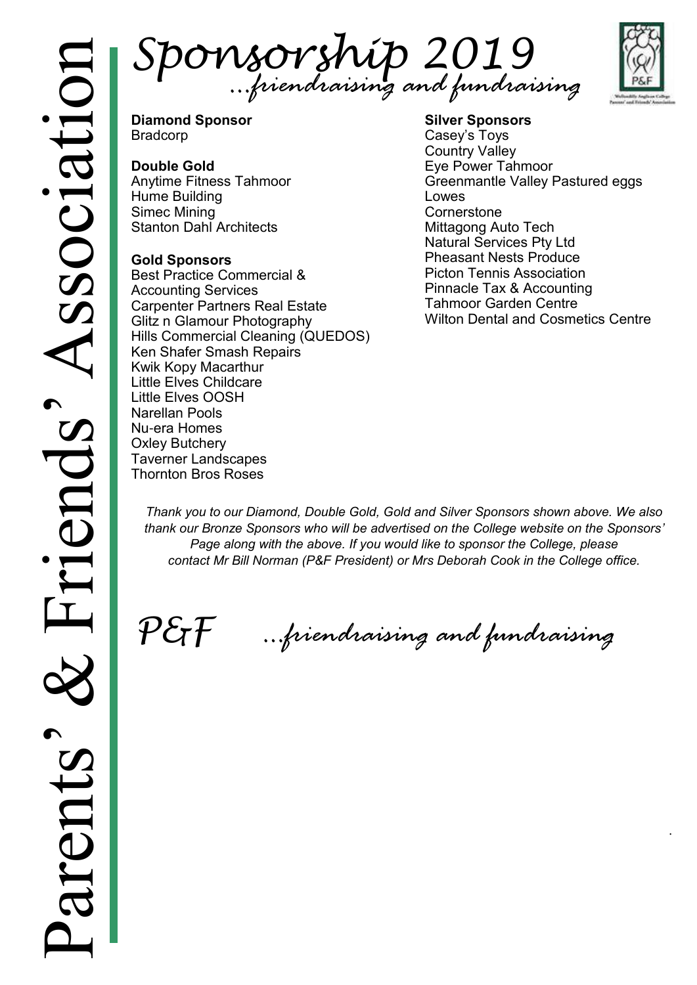Sponsorship 2019 *…friendraising and fundraising*

![](_page_16_Picture_2.jpeg)

.

**Diamond Sponsor** Bradcorp

### **Double Gold**

Anytime Fitness Tahmoor Hume Building Simec Mining Stanton Dahl Architects

### **Gold Sponsors**

Best Practice Commercial & Accounting Services Carpenter Partners Real Estate Glitz n Glamour Photography Hills Commercial Cleaning (QUEDOS) Ken Shafer Smash Repairs Kwik Kopy Macarthur Little Elves Childcare Little Elves OOSH Narellan Pools Nu-era Homes Oxley Butchery Taverner Landscapes Thornton Bros Roses

#### **Silver Sponsors** Casey's Toys Country Valley Eye Power Tahmoor Greenmantle Valley Pastured eggs Lowes **Cornerstone** Mittagong Auto Tech Natural Services Pty Ltd Pheasant Nests Produce Picton Tennis Association Pinnacle Tax & Accounting Tahmoor Garden Centre Wilton Dental and Cosmetics Centre

*Thank you to our Diamond, Double Gold, Gold and Silver Sponsors shown above. We also thank our Bronze Sponsors who will be advertised on the College website on the Sponsors' Page along with the above. If you would like to sponsor the College, please contact Mr Bill Norman (P&F President) or Mrs Deborah Cook in the College office.*

 $P \mathcal{E}$ F

*…friendraising and fundraising*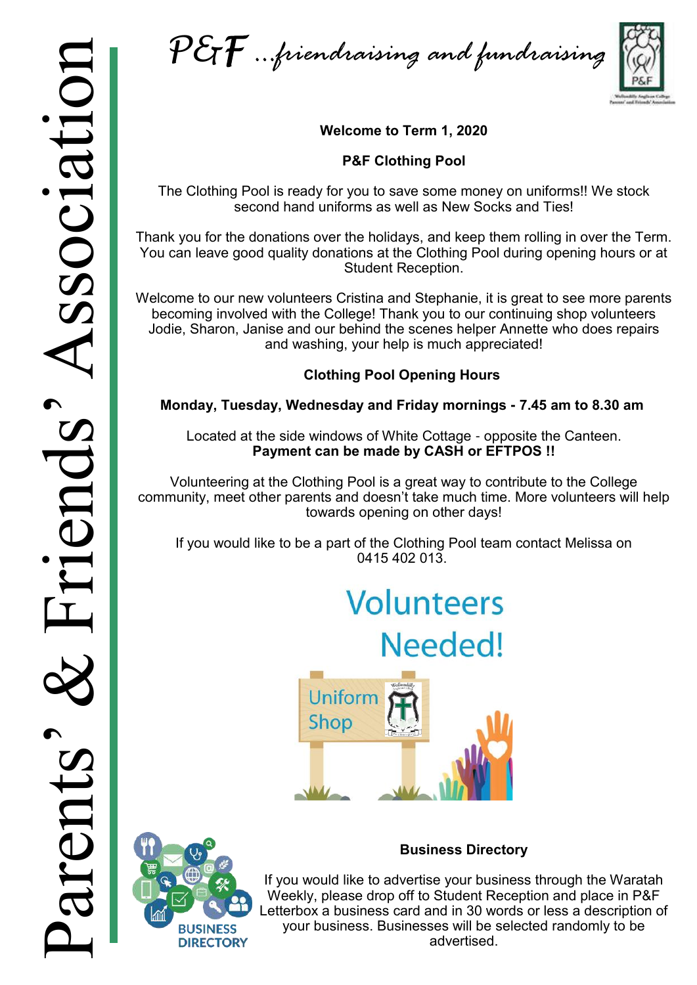P&F *…friendraising and fundraising*

![](_page_17_Picture_2.jpeg)

### **Welcome to Term 1, 2020**

### **P&F Clothing Pool**

The Clothing Pool is ready for you to save some money on uniforms!! We stock second hand uniforms as well as New Socks and Ties!

Thank you for the donations over the holidays, and keep them rolling in over the Term. You can leave good quality donations at the Clothing Pool during opening hours or at Student Reception.

Welcome to our new volunteers Cristina and Stephanie, it is great to see more parents becoming involved with the College! Thank you to our continuing shop volunteers Jodie, Sharon, Janise and our behind the scenes helper Annette who does repairs and washing, your help is much appreciated!

### **Clothing Pool Opening Hours**

### **Monday, Tuesday, Wednesday and Friday mornings - 7.45 am to 8.30 am**

Located at the side windows of White Cottage - opposite the Canteen. **Payment can be made by CASH or EFTPOS !!**

Volunteering at the Clothing Pool is a great way to contribute to the College community, meet other parents and doesn't take much time. More volunteers will help towards opening on other days!

If you would like to be a part of the Clothing Pool team contact Melissa on 0415 402 013.

# **Volunteers**

Needed!

![](_page_17_Picture_15.jpeg)

![](_page_17_Picture_16.jpeg)

### **Business Directory**

If you would like to advertise your business through the Waratah Weekly, please drop off to Student Reception and place in P&F Letterbox a business card and in 30 words or less a description of your business. Businesses will be selected randomly to be advertised.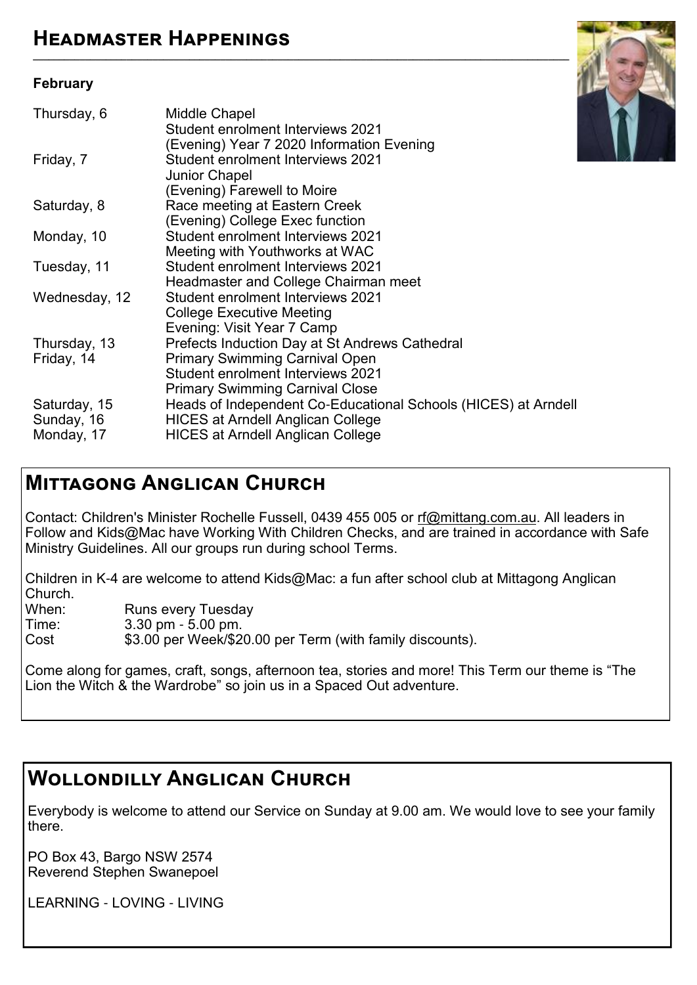### **February**

![](_page_18_Picture_2.jpeg)

**\_\_\_\_\_\_\_\_\_\_\_\_\_\_\_\_\_\_\_\_\_\_\_\_\_\_\_\_\_\_\_\_\_\_\_\_\_\_\_\_\_\_\_\_\_\_\_\_\_\_\_\_\_\_\_\_\_\_\_\_\_\_\_\_\_\_\_\_\_\_\_\_\_\_\_\_\_\_\_\_\_\_\_\_\_\_\_\_\_\_\_\_\_\_\_\_\_\_\_\_\_\_\_**

# **Mittagong Anglican Church**

Contact: Children's Minister Rochelle Fussell, 0439 455 005 or [rf@mittang.com.au.](mailto:rf@mittang.com.au) All leaders in Follow and Kids@Mac have Working With Children Checks, and are trained in accordance with Safe Ministry Guidelines. All our groups run during school Terms.

Children in K-4 are welcome to attend Kids@Mac: a fun after school club at Mittagong Anglican Church.<br>When<sup>.</sup>

When: Runs every Tuesday<br>Time: 3.30 pm - 5.00 pm.

Time: 3.30 pm - 5.00 pm.<br>Cost \$3.00 per Week/\$2

\$3.00 per Week/\$20.00 per Term (with family discounts).

Come along for games, craft, songs, afternoon tea, stories and more! This Term our theme is "The Lion the Witch & the Wardrobe" so join us in a Spaced Out adventure.

# **Wollondilly Anglican Church**

Everybody is welcome to attend our Service on Sunday at 9.00 am. We would love to see your family there.

PO Box 43, Bargo NSW 2574 Reverend Stephen Swanepoel

LEARNING - LOVING - LIVING

![](_page_18_Picture_14.jpeg)